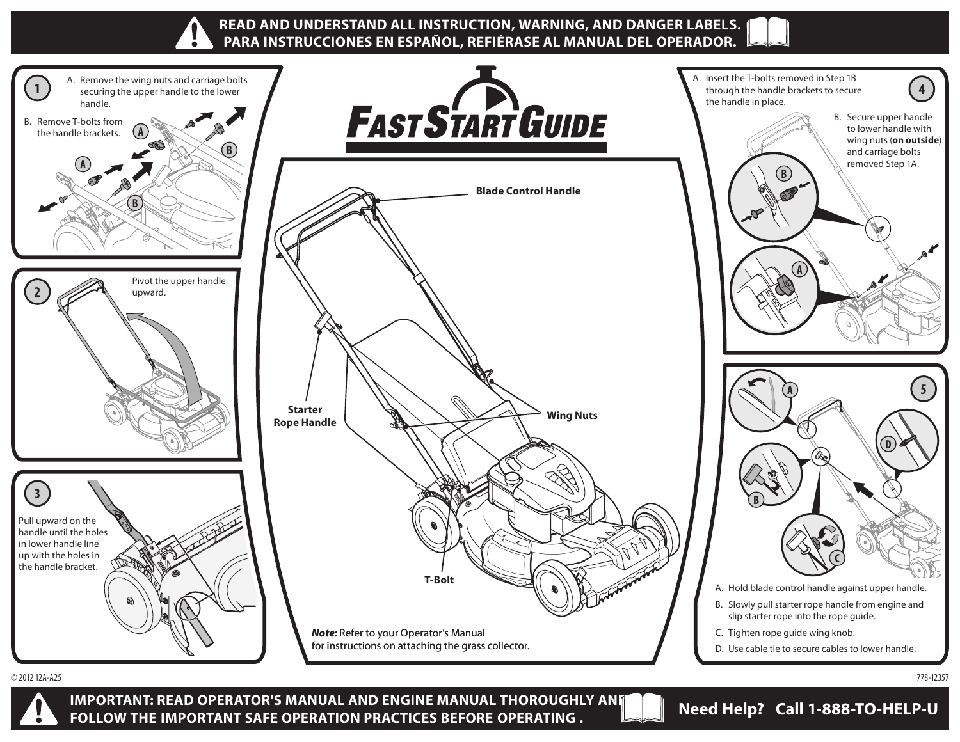



**IMPORTANT: READ OPERATOR'S MANUAL AND ENGINE MANUAL THOROUGHLY AND FOLLOW THE IMPORTANT SAFE OPERATION PRACTICES BEFORE OPERATING . Need Help? Call 1-888-TO-HELP-U**